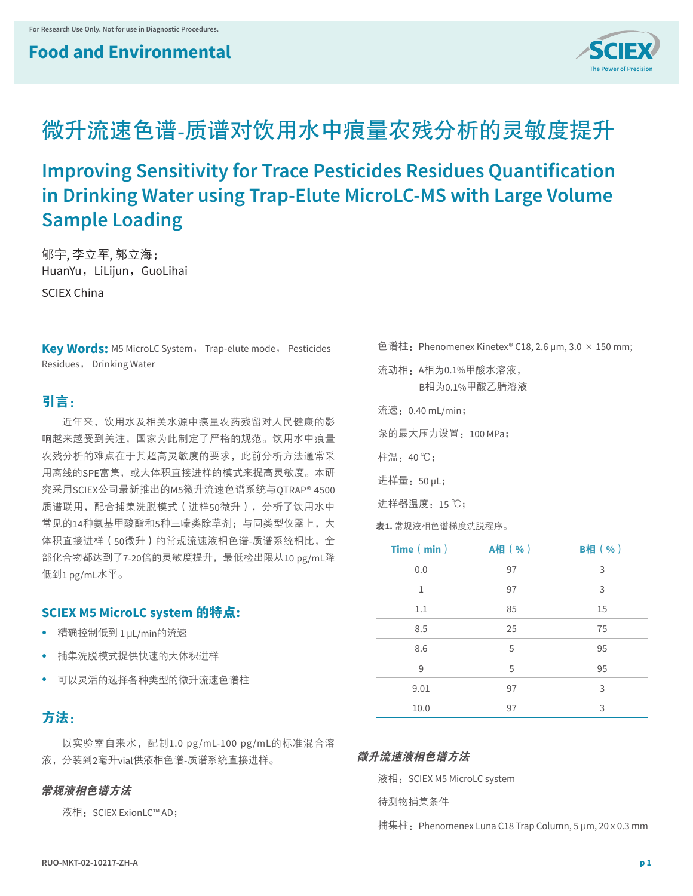## **Food and Environmental**



# 微升流速色谱**-**质谱对饮用水中痕量农残分析的灵敏度提升

**Improving Sensitivity for Trace Pesticides Residues Quantification in Drinking Water using Trap-Elute MicroLC-MS with Large Volume Sample Loading**

郇宇, 李立军, 郭立海; HuanYu, LiLijun, GuoLihai

SCIEX China

**Key Words:** M5 MicroLC System, Trap-elute mode, Pesticides Residues, Drinking Water

## 引言:

近年来,饮用水及相关水源中痕量农药残留对人民健康的影 响越来越受到关注,国家为此制定了严格的规范。饮用水中痕量 农残分析的难点在于其超高灵敏度的要求,此前分析方法通常采 用离线的SPE富集,或大体积直接进样的模式来提高灵敏度。本研 究采用SCIEX公司最新推出的M5微升流速色谱系统与QTRAP® 4500 质谱联用,配合捕集洗脱模式(进样50微升),分析了饮用水中 常见的14种氨基甲酸酯和5种三嗪类除草剂;与同类型仪器上,大 体积直接进样(50微升)的常规流速液相色谱-质谱系统相比,全 部化合物都达到了7-20倍的灵敏度提升,最低检出限从10 pg/mL降 低到1 pg/mL水平。

## **SCIEX M5 MicroLC system** 的特点**:**

- **•** 精确控制低到 1 µL/min的流速
- **•** 捕集洗脱模式提供快速的大体积进样
- **•** 可以灵活的选择各种类型的微升流速色谱柱

## 方法:

以实验室自来水,配制1.0 pg/mL-100 pg/mL的标准混合溶 液,分装到2毫升vial供液相色谱-质谱系统直接进样。

#### 常规液相色谱方法

液相: SCIEX ExionLC™ AD;

色谱柱: Phenomenex Kinetex<sup>®</sup> C18, 2.6 μm, 3.0  $\times$  150 mm;

流动相:A相为0.1%甲酸水溶液, B相为0.1%甲酸乙腈溶液

流速:0.40 mL/min;

泵的最大压力设置:100 MPa;

柱温:40 ℃;

进样量:50 µL;

进样器温度:15 ℃;

表**1.** 常规液相色谱梯度洗脱程序。

| Time (min) | A相(%) | <b>B相(%)</b> |
|------------|-------|--------------|
| 0.0        | 97    | 3            |
| 1          | 97    | 3            |
| 1.1        | 85    | 15           |
| 8.5        | 25    | 75           |
| 8.6        | 5     | 95           |
| 9          | 5     | 95           |
| 9.01       | 97    | 3            |
| 10.0       | 97    | 3            |

#### 微升流速液相色谱方法

液相: SCIEX M5 MicroLC system

待测物捕集条件

捕集柱:Phenomenex Luna C18 Trap Column, 5 µm, 20 x 0.3 mm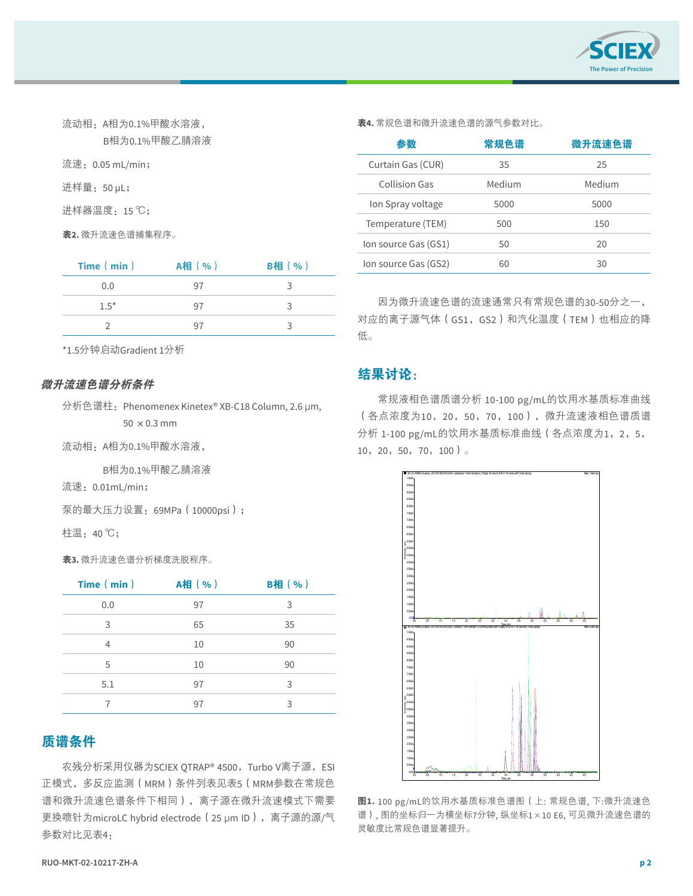

| B相为0.1%甲酸乙腈溶液          |
|------------------------|
| 流速: 0.05 mL/min;       |
| 进样量: 50 µL;            |
| 进样器温度:15 ℃;            |
| <b>表2.</b> 微升流速色谱捕集程序。 |

流动相:A相为0.1%甲酸水溶液,

| Time (min) | A相 (%) | <b>B相</b> (%) |
|------------|--------|---------------|
| 0.0        | 97     |               |
| $1.5*$     | 97     |               |
|            | 97     |               |

\*1.5分钟启动Gradient 1分析

#### 微升流速色谱分析条件

流动相: A相为0.1%甲酸水溶液,

B相为0.1%甲酸乙腈溶液

流速:0.01mL/min;

泵的最大压力设置:69MPa(10000psi);

柱温:40 ℃;

表**3.** 微升流速色谱分析梯度洗脱程序。

| Time (min) | A相(%) | <b>B相(%)</b> |
|------------|-------|--------------|
| 0.0        | 97    | 3            |
| 3          | 65    | 35           |
| 4          | 10    | 90           |
| 5          | 10    | 90           |
| 5.1        | 97    | 3            |
|            | 97    | 3            |

## 质谱条件

农残分析采用仪器为SCIEX OTRAP® 4500, Turbo V离子源, ESI 正模式,多反应监测(MRM)条件列表见表5(MRM参数在常规色 谱和微升流速色谱条件下相同),离子源在微升流速模式下需要 更换喷针为microLC hybrid electrode(25 µm ID),离子源的源/气 参数对比见表4:

表**4.** 常规色谱和微升流速色谱的源气参数对比。

| 参数                   | 常规色谱   | 微升流速色谱 |
|----------------------|--------|--------|
| Curtain Gas (CUR)    | 35     | 25     |
| Collision Gas        | Medium | Medium |
| Ion Spray voltage    | 5000   | 5000   |
| Temperature (TEM)    | 500    | 150    |
| Ion source Gas (GS1) | 50     | 20     |
| Ion source Gas (GS2) | 60     | 30     |

因为微升流速色谱的流速通常只有常规色谱的30-50分之一, 对应的离子源气体(GS1,GS2)和汽化温度(TEM)也相应的降 低。

## 结果讨论:

常规液相色谱质谱分析 10-100 pg/mL的饮用水基质标准曲线 (各点浓度为10,20,50,70,100),微升流速液相色谱质谱 分析 1-100 pg/mL的饮用水基质标准曲线 ( 各点浓度为1, 2, 5, 10,20,50,70,100)。



图**1.** 100 pg/mL的饮用水基质标准色谱图(上: 常规色谱, 下:微升流速色 谱), 图的坐标归一为横坐标7分钟, 纵坐标1×10 E6, 可见微升流速色谱的 灵敏度比常规色谱显著提升。

分析色谱柱:Phenomenex Kinetex® XB-C18 Column, 2.6 µm,  $50 \times 0.3$  mm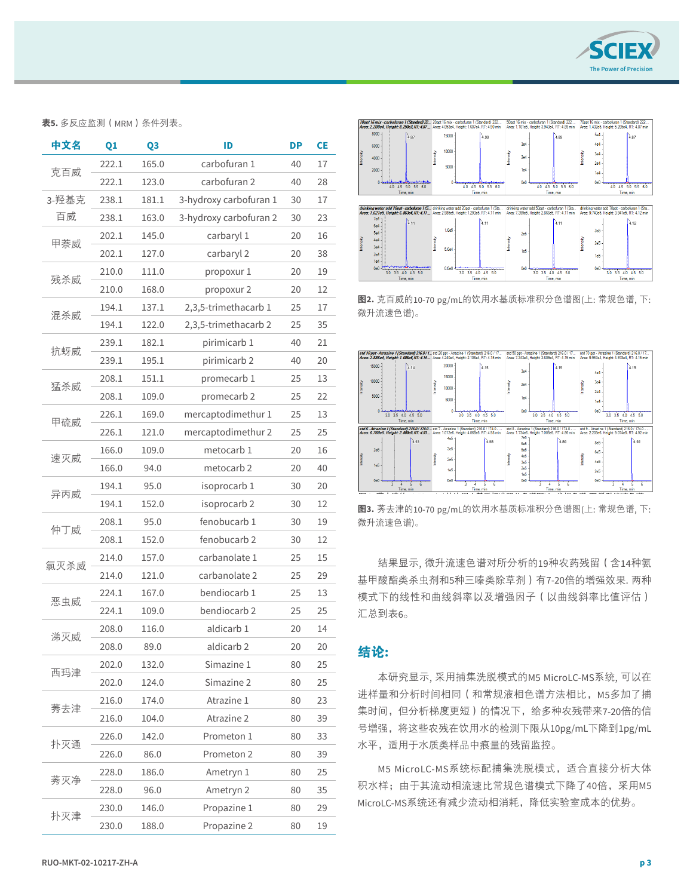

表**5.** 多反应监测(MRM)条件列表。

| 中文名   | Q1                             | Q3    | ID                     | DP | <b>CE</b> |
|-------|--------------------------------|-------|------------------------|----|-----------|
|       | carbofuran 1<br>165.0<br>222.1 |       | 40                     | 17 |           |
| 克百威   | 222.1                          | 123.0 | carbofuran 2           | 40 | 28        |
| 3-羟基克 | 238.1                          | 181.1 | 3-hydroxy carbofuran 1 | 30 | 17        |
| 百威    | 238.1                          | 163.0 | 3-hydroxy carbofuran 2 | 30 | 23        |
|       | 202.1                          | 145.0 | carbaryl 1             | 20 | 16        |
| 甲萘威   | 202.1                          | 127.0 | carbaryl 2             | 20 | 38        |
|       | 210.0                          | 111.0 | propoxur 1             | 20 | 19        |
| 残杀威   | 210.0                          | 168.0 | propoxur 2             | 20 | 12        |
|       | 194.1                          | 137.1 | 2,3,5-trimethacarb 1   | 25 | 17        |
| 混杀威   | 194.1                          | 122.0 | 2,3,5-trimethacarb 2   | 25 | 35        |
|       | 239.1                          | 182.1 | pirimicarb 1           | 40 | 21        |
| 抗蚜威   | 239.1                          | 195.1 | pirimicarb 2           | 40 | 20        |
|       | 208.1                          | 151.1 | promecarb 1            | 25 | 13        |
| 猛杀威   | 208.1                          | 109.0 | promecarb 2            | 25 | 22        |
|       | 226.1                          | 169.0 | mercaptodimethur 1     | 25 | 13        |
| 甲硫威   | 226.1                          | 121.0 | mercaptodimethur 2     | 25 | 25        |
|       | 166.0                          | 109.0 | metocarb 1             | 20 | 16        |
| 速灭威   | 166.0                          | 94.0  | metocarb 2             | 20 | 40        |
|       | 194.1                          | 95.0  | isoprocarb 1           | 30 | 20        |
|       | 异丙威<br>194.1<br>152.0          |       | isoprocarb 2           | 30 | 12        |
| 仲丁威   | 208.1                          | 95.0  | fenobucarb 1           | 30 | 19        |
|       | 208.1                          | 152.0 | fenobucarb 2           | 30 | 12        |
|       | 214.0                          | 157.0 | carbanolate 1          | 25 | 15        |
| 氯灭杀威  | 214.0                          | 121.0 | carbanolate 2          | 25 | 29        |
| 恶虫威   | 224.1                          | 167.0 | bendiocarb 1           | 25 | 13        |
|       | 224.1                          | 109.0 | bendiocarb 2           | 25 | 25        |
|       | 208.0                          | 116.0 | aldicarb 1             | 20 | 14        |
| 涕灭威   | 208.0                          | 89.0  | aldicarb <sub>2</sub>  | 20 | 20        |
| 西玛津   | 202.0                          | 132.0 | Simazine 1             | 80 | 25        |
|       | 202.0                          | 124.0 | Simazine 2             | 80 | 25        |
| 莠去津   | 216.0                          | 174.0 | Atrazine 1             | 80 | 23        |
|       | 216.0                          | 104.0 | Atrazine 2             | 80 | 39        |
|       | 226.0                          | 142.0 | Prometon 1             | 80 | 33        |
| 扑灭通   | 226.0                          | 86.0  | Prometon 2             | 80 | 39        |
| 莠灭净   | 228.0                          | 186.0 | Ametryn 1              | 80 | 25        |
|       | 228.0                          | 96.0  | Ametryn 2              | 80 | 35        |
|       | 230.0                          | 146.0 | Propazine 1            | 80 | 29        |
| 扑灭津   | 230.0                          | 188.0 | Propazine 2            | 80 | 19        |



图2. 克百威的10-70 pg/mL的饮用水基质标准积分色谱图(上: 常规色谱, 下: 微升流速色谱)。



微升流速色谱)。 いんしんしょう しんしゅう しんこうしゅう **图3.** 莠去津的10-70 pg/mL的饮用水基质标准积分色谱图(上: 常规色谱, 下:

结果显示, 微升流速色谱对所分析的19种农药残留(含14种氨 基甲酸酯类杀虫剂和5种三嗪类除草剂)有7-20倍的增强效果. 两种 模式下的线性和曲线斜率以及增强因子(以曲线斜率比值评估) 汇总到表6。

## 结论**:**

本研究显示, 采用捕集洗脱模式的M5 MicroLC-MS系统, 可以在 进样量和分析时间相同(和常规液相色谱方法相比,M5多加了捕 集时间,但分析梯度更短)的情况下,给多种农残带来7-20倍的信 号增强,将这些农残在饮用水的检测下限从10pg/mL下降到1pg/mL 水平,适用于水质类样品中痕量的残留监控。

M5 MicroLC-MS系统标配捕集洗脱模式,适合直接分析大体 积水样;由于其流动相流速比常规色谱模式下降了40倍,采用M5 MicroLC-MS系统还有减少流动相消耗,降低实验室成本的优势。